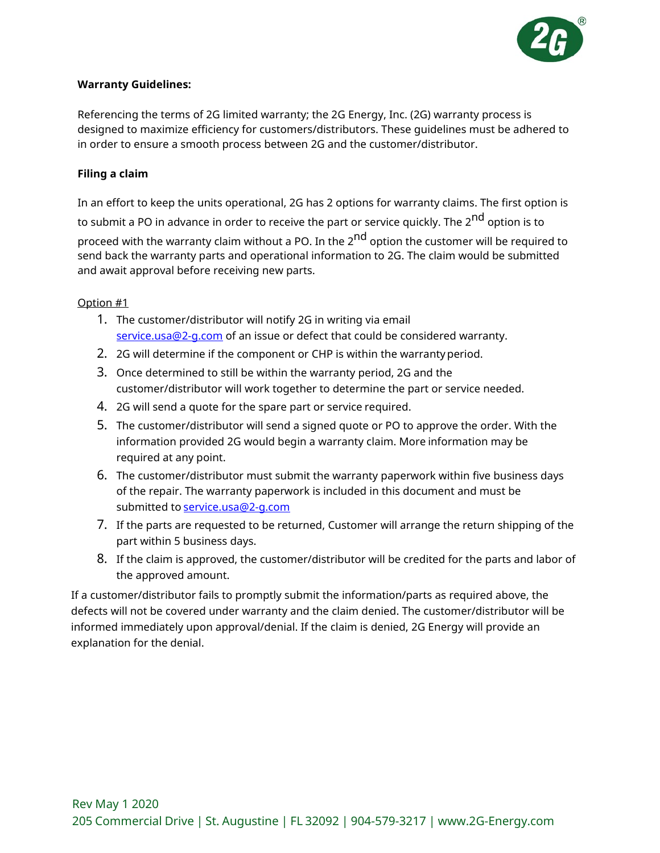

# **Warranty Guidelines:**

Referencing the terms of 2G limited warranty; the 2G Energy, Inc. (2G) warranty process is designed to maximize efficiency for customers/distributors. These guidelines must be adhered to in order to ensure a smooth process between 2G and the customer/distributor.

# **Filing a claim**

In an effort to keep the units operational, 2G has 2 options for warranty claims. The first option is to submit a PO in advance in order to receive the part or service quickly. The 2<sup>nd</sup> option is to proceed with the warranty claim without a PO. In the 2<sup>nd</sup> option the customer will be required to send back the warranty parts and operational information to 2G. The claim would be submitted and await approval before receiving new parts.

# Option #1

- 1. The customer/distributor will notify 2G in writing via email [service.usa@2-g.com](mailto:service.usa@2-g.com) of an issue or defect that could be considered warranty.
- 2. 2G will determine if the component or CHP is within the warrantyperiod.
- 3. Once determined to still be within the warranty period, 2G and the customer/distributor will work together to determine the part or service needed.
- 4. 2G will send a quote for the spare part or service required.
- 5. The customer/distributor will send a signed quote or PO to approve the order. With the information provided 2G would begin a warranty claim. More information may be required at any point.
- 6. The customer/distributor must submit the warranty paperwork within five business days of the repair. The warranty paperwork is included in this document and must be submitted to service.usa@2-q.com
- 7. If the parts are requested to be returned, Customer will arrange the return shipping of the part within 5 business days.
- 8. If the claim is approved, the customer/distributor will be credited for the parts and labor of the approved amount.

If a customer/distributor fails to promptly submit the information/parts as required above, the defects will not be covered under warranty and the claim denied. The customer/distributor will be informed immediately upon approval/denial. If the claim is denied, 2G Energy will provide an explanation for the denial.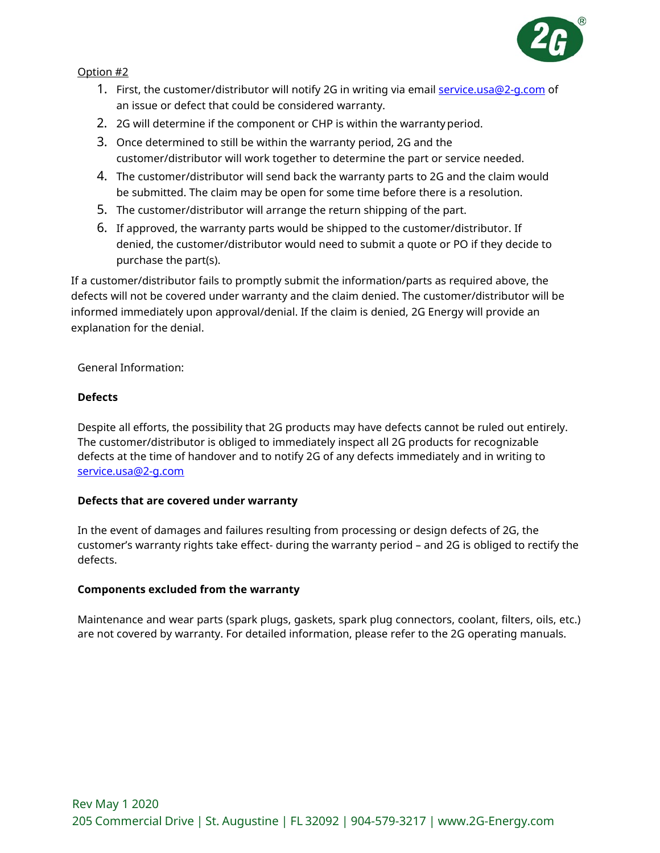

# Option #2

- 1. First, the customer/distributor will notify 2G in writing via email service.usa@2-q.com of an issue or defect that could be considered warranty.
- 2. 2G will determine if the component or CHP is within the warrantyperiod.
- 3. Once determined to still be within the warranty period, 2G and the customer/distributor will work together to determine the part or service needed.
- 4. The customer/distributor will send back the warranty parts to 2G and the claim would be submitted. The claim may be open for some time before there is a resolution.
- 5. The customer/distributor will arrange the return shipping of the part.
- 6. If approved, the warranty parts would be shipped to the customer/distributor. If denied, the customer/distributor would need to submit a quote or PO if they decide to purchase the part(s).

If a customer/distributor fails to promptly submit the information/parts as required above, the defects will not be covered under warranty and the claim denied. The customer/distributor will be informed immediately upon approval/denial. If the claim is denied, 2G Energy will provide an explanation for the denial.

General Information:

# **Defects**

Despite all efforts, the possibility that 2G products may have defects cannot be ruled out entirely. The customer/distributor is obliged to immediately inspect all 2G products for recognizable defects at the time of handover and to notify 2G of any defects immediately and in writing to [service.usa@2-g.com](mailto:service.usa@2-g.com)

#### **Defects that are covered under warranty**

In the event of damages and failures resulting from processing or design defects of 2G, the customer's warranty rights take effect- during the warranty period – and 2G is obliged to rectify the defects.

#### **Components excluded from the warranty**

Maintenance and wear parts (spark plugs, gaskets, spark plug connectors, coolant, filters, oils, etc.) are not covered by warranty. For detailed information, please refer to the 2G operating manuals.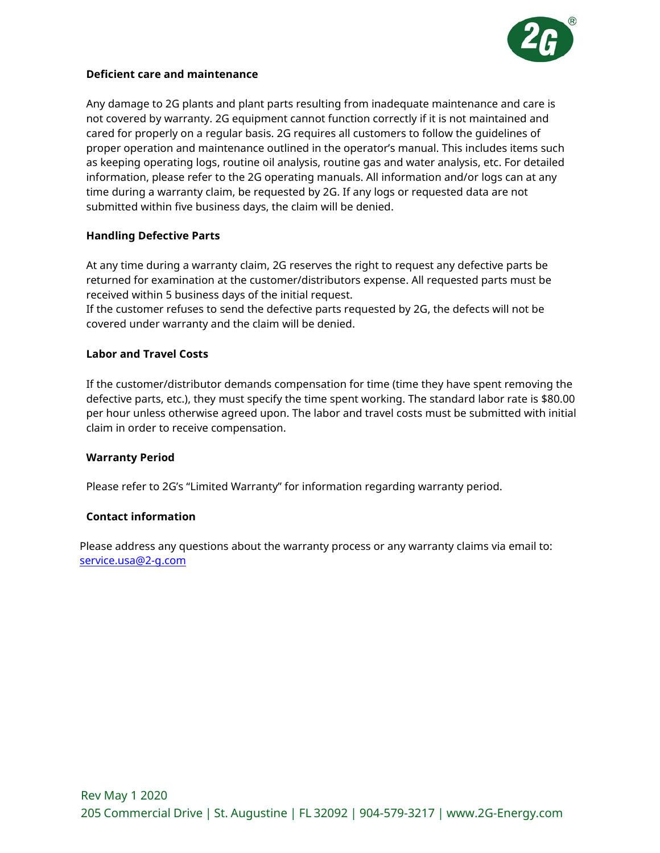

# **Deficient care and maintenance**

Any damage to 2G plants and plant parts resulting from inadequate maintenance and care is not covered by warranty. 2G equipment cannot function correctly if it is not maintained and cared for properly on a regular basis. 2G requires all customers to follow the guidelines of proper operation and maintenance outlined in the operator's manual. This includes items such as keeping operating logs, routine oil analysis, routine gas and water analysis, etc. For detailed information, please refer to the 2G operating manuals. All information and/or logs can at any time during a warranty claim, be requested by 2G. If any logs or requested data are not submitted within five business days, the claim will be denied.

# **Handling Defective Parts**

At any time during a warranty claim, 2G reserves the right to request any defective parts be returned for examination at the customer/distributors expense. All requested parts must be received within 5 business days of the initial request.

If the customer refuses to send the defective parts requested by 2G, the defects will not be covered under warranty and the claim will be denied.

#### **Labor and Travel Costs**

If the customer/distributor demands compensation for time (time they have spent removing the defective parts, etc.), they must specify the time spent working. The standard labor rate is \$80.00 per hour unless otherwise agreed upon. The labor and travel costs must be submitted with initial claim in order to receive compensation.

#### **Warranty Period**

Please refer to 2G's "Limited Warranty" for information regarding warranty period.

#### **Contact information**

Please address any questions about the warranty process or any warranty claims via email to: [service.usa@2-g.com](mailto:service.usa@2-g.com)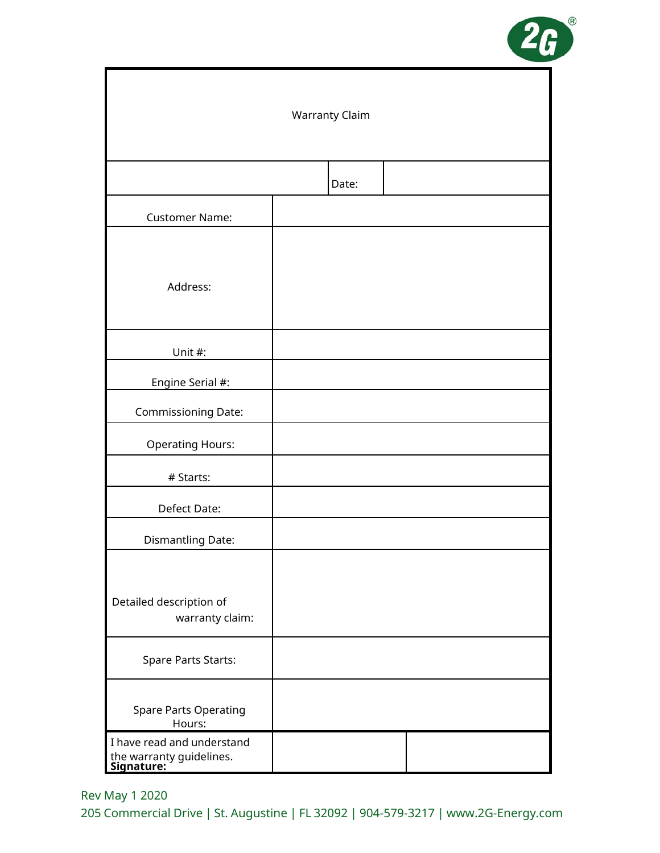

| <b>Warranty Claim</b>                                                |  |       |  |  |
|----------------------------------------------------------------------|--|-------|--|--|
|                                                                      |  | Date: |  |  |
| <b>Customer Name:</b>                                                |  |       |  |  |
| Address:                                                             |  |       |  |  |
| Unit #:                                                              |  |       |  |  |
| Engine Serial #:                                                     |  |       |  |  |
| Commissioning Date:                                                  |  |       |  |  |
| <b>Operating Hours:</b>                                              |  |       |  |  |
| # Starts:                                                            |  |       |  |  |
| Defect Date:                                                         |  |       |  |  |
| Dismantling Date:                                                    |  |       |  |  |
| Detailed description of<br>warranty claim:                           |  |       |  |  |
| <b>Spare Parts Starts:</b>                                           |  |       |  |  |
| Spare Parts Operating<br>Hours:                                      |  |       |  |  |
| I have read and understand<br>the warranty guidelines.<br>Signature: |  |       |  |  |